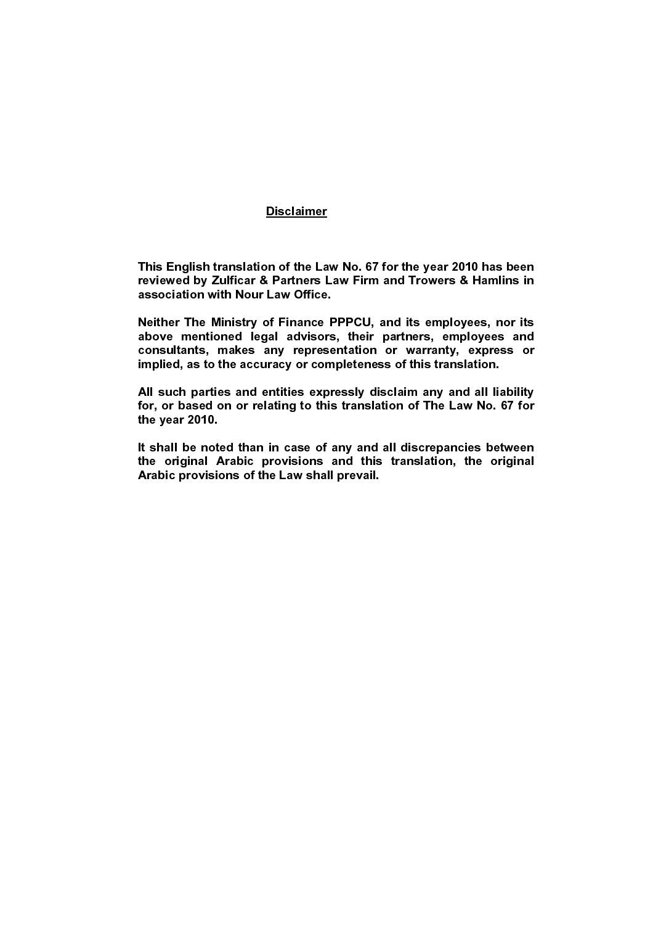#### Disclaimer ٦

This English translation of the Law No. 67 for the year 2010 has been reviewed by Zulficar & Partners Law Firm and Trowers & Hamlins in association with Nour Law Office.

Neither The Ministry of Finance PPPCU, and its employees, nor its above mentioned legal advisors, their partners, employees and consultants, makes any representation or warranty, express or implied, as to the accuracy or completeness of this translation.

All such parties and entities expressly disclaim any and all liability for, or based on or relating to this translation of The Law No. 67 for the year 2010.

It shall be noted than in case of any and all discrepancies between the original Arabic provisions and this translation, the original Arabic provisions of the Law shall prevail.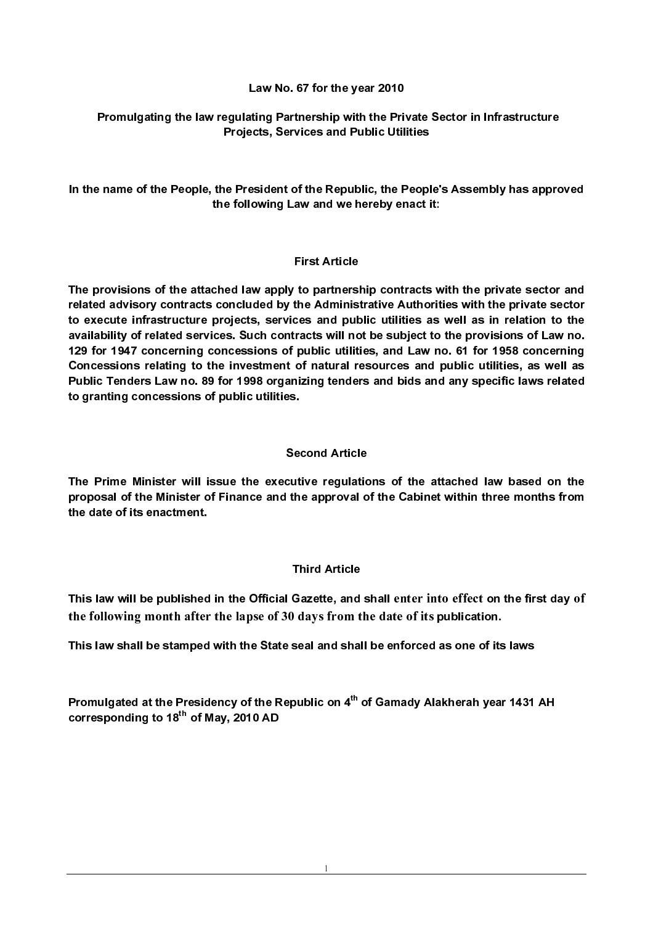#### Law No. 67 for the year 2010

#### Promulgating the law regulating Partnership with the Private Sector in Infrastructure Projects, Services and Public Utilities

In the name of the People, the President of the Republic, the People's Assembly has approved the following Law and we hereby enact it:

#### First Article

The provisions of the attached law apply to partnership contracts with the private sector and related advisory contracts concluded by the Administrative Authorities with the private sector to execute infrastructure projects, services and public utilities as well as in relation to the availability of related services. Such contracts will not be subject to the provisions of Law no. 129 for 1947 concerning concessions of public utilities, and Law no. 61 for 1958 concerning Concessions relating to the investment of natural resources and public utilities, as well as Public Tenders Law no. 89 for 1998 organizing tenders and bids and any specific laws related to granting concessions of public utilities.

#### Second Article

The Prime Minister will issue the executive regulations of the attached law based on the proposal of the Minister of Finance and the approval of the Cabinet within three months from the date of its enactment.

#### Third Article

This law will be published in the Official Gazette, and shall enter into effect on the first day of This law will be published in the Official Gazette, and shall enter into effect on the first day of the following month after the lapse of 30 days from the date of its publication.<br>This law shall be stamped with the State the following month after the lapse of 30 days from the date of its publication.

This law shall be stamped with the State seal and shall be enforced as one of its laws

the following month after the lapse of 30 days from the date of its publication.<br>This law shall be stamped with the State seal and shall be enforced as one of its<br>Promulgated at the Presidency of the Republic on 4<sup>th</sup> of Promulgated at the Presidency of the Republic on 4<sup>th</sup> of Gamady Alakherah year 1431 AH corresponding to  $18<sup>th</sup>$  of May, 2010 AD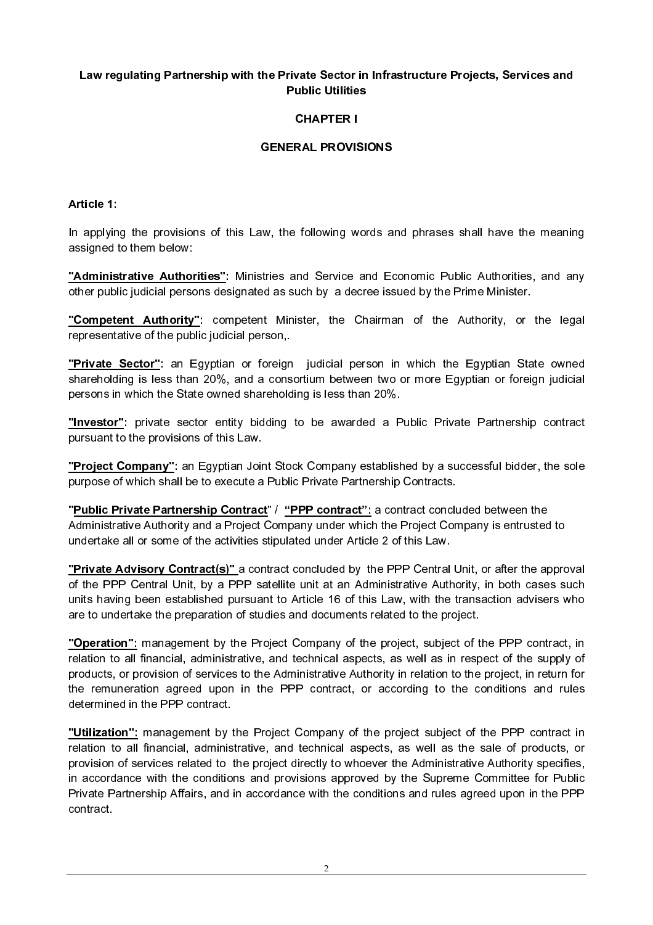## Law regulating Partnership with the Private Sector in Infrastructure Projects, Services and Public Utilities

## CHAPTER I

## GENERAL PROVISIONS

Article 1:

In applying the provisions of this Law, the following words and phrases shall have the meaning assigned to them below:

"Administrative Authorities": Ministries and Service and Economic Public Authorities, and any other public judicial persons designated as such by a decree issued by the Prime Minister.

"Competent Authority": competent Minister, the Chairman of the Authority, or the legal representative of the public judicial person,.

"Private Sector": an Egyptian or foreign judicial person in which the Egyptian State owned shareholding is less than 20%, and a consortium between two or more Egyptian or foreign judicial persons in which the State owned shareholding is less than 20%.

"Investor": private sector entity bidding to be awarded a Public Private Partnership contract pursuant to the provisions of this Law.

"Project Company": an Egyptian Joint Stock Company established by a successful bidder, the sole purpose of which shall be to execute a Public Private Partnership Contracts.

"Public Private Partnership Contract" / "PPP contract": a contract concluded between the Administrative Authority and a Project Company under which the Project Company is entrusted to undertake all or some of the activities stipulated under Article 2 of this Law.

**"Private Advisory Contract(s)"** a contract concluded by the PPP Central Unit, or after the approval of the PPP Central Unit, by a PPP satellite unit at an Administrative Authority, in both cases such units having been established pursuant to Article 16 of this Law, with the transaction advisers who are to undertake the preparation of studies and documents related to the project.

"Operation": management by the Project Company of the project, subject of the PPP contract, in relation to all financial, administrative, and technical aspects, as well as in respect of the supply of products, or provision of services to the Administrative Authority in relation to the project, in return for the remuneration agreed upon in the PPP contract, or according to the conditions and rules determined in the PPP contract.

"Utilization": management by the Project Company of the project subject of the PPP contract in relation to all financial, administrative, and technical aspects, as well as the sale of products, or provision of services related to the project directly to whoever the Administrative Authority specifies, in accordance with the conditions and provisions approved by the Supreme Committee for Public Private Partnership Affairs, and in accordance with the conditions and rules agreed upon in the PPP contract.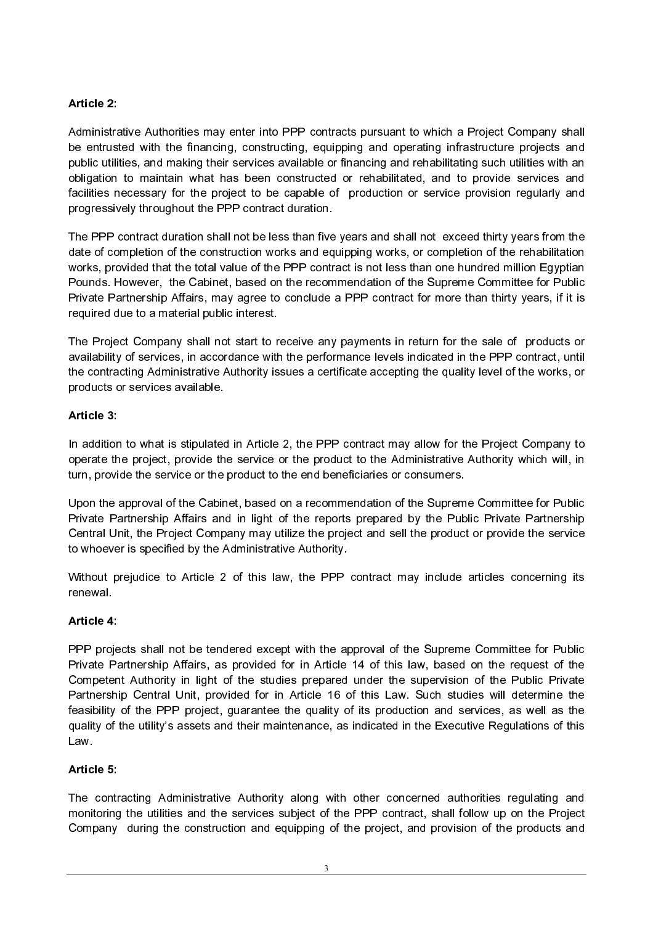# Article 2:

Administrative Authorities may enter into PPP contracts pursuant to which a Project Company shall be entrusted with the financing, constructing, equipping and operating infrastructure projects and public utilities, and making their services available or financing and rehabilitating such utilities with an obligation to maintain what has been constructed or rehabilitated, and to provide services and facilities necessary for the project to be capable of production or service provision regularly and progressively throughout the PPP contract duration.

The PPP contract duration shall not be less than five years and shall not exceed thirty years from the date of completion of the construction works and equipping works, or completion of the rehabilitation works, provided that the total value of the PPP contract is not less than one hundred million Egyptian Pounds. However, the Cabinet, based on the recommendation of the Supreme Committee for Public Private Partnership Affairs, may agree to conclude a PPP contract for more than thirty years, if it is required due to a material public interest.

The Project Company shall not start to receive any payments in return for the sale of products or availability of services, in accordance with the performance levels indicated in the PPP contract, until the contracting Administrative Authority issues a certificate accepting the quality level of the works, or products or services available.

## Article 3:

In addition to what is stipulated in Article 2, the PPP contract may allow for the Project Company to operate the project, provide the service or the product to the Administrative Authority which will, in turn, provide the service or the product to the end beneficiaries or consumers.

Upon the approval of the Cabinet, based on a recommendation of the Supreme Committee for Public Private Partnership Affairs and in light of the reports prepared by the Public Private Partnership Central Unit, the Project Company may utilize the project and sell the product or provide the service to whoever is specified by the Administrative Authority.

Without prejudice to Article 2 of this law, the PPP contract may include articles concerning its renewal.

## Article 4:

PPP projects shall not be tendered except with the approval of the Supreme Committee for Public Private Partnership Affairs, as provided for in Article 14 of this law, based on the request of the Competent Authority in light of the studies prepared under the supervision of the Public Private Partnership Central Unit, provided for in Article 16 of this Law. Such studies will determine the feasibility of the PPP project, guarantee the quality of its production and services, as well as the quality of the utility's assets and their maintenance, as indicated in the Executive Regulations of this Law.

# Article 5:

The contracting Administrative Authority along with other concerned authorities regulating and monitoring the utilities and the services subject of the PPP contract, shall follow up on the Project Company during the construction and equipping of the project, and provision of the products and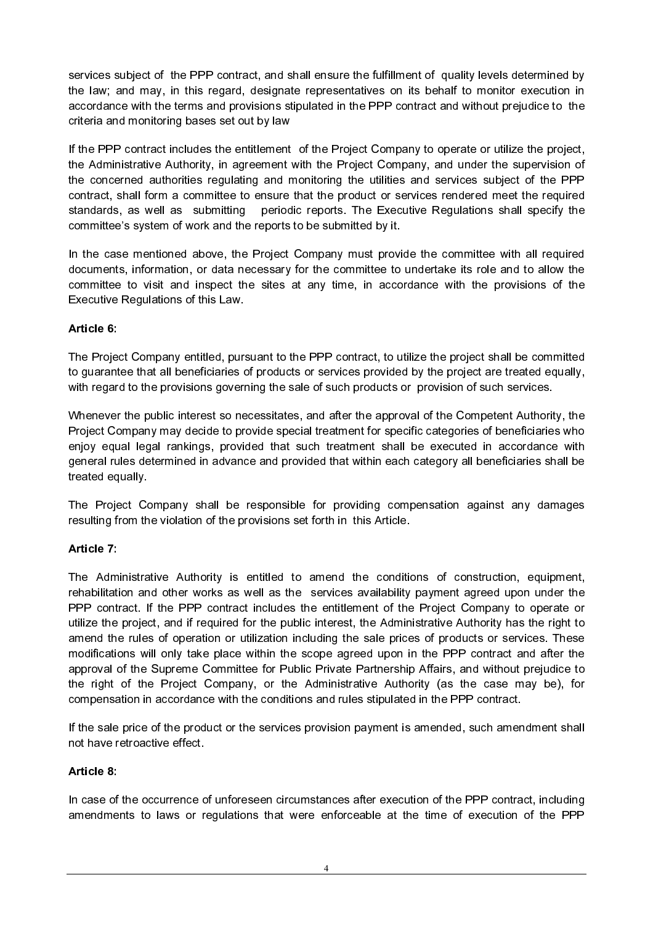services subject of the PPP contract, and shall ensure the fulfillment of quality levels determined by the law; and may, in this regard, designate representatives on its behalf to monitor execution in accordance with the terms and provisions stipulated in the PPP contract and without prejudice to the criteria and monitoring bases set out by law

If the PPP contract includes the entitlement of the Project Company to operate or utilize the project, the Administrative Authority, in agreement with the Project Company, and under the supervision of the concerned authorities regulating and monitoring the utilities and services subject of the PPP contract, shall form a committee to ensure that the product or services rendered meet the required standards, as well as submitting periodic reports. The Executive Regulations shall specify the committee's system of work and the reports to be submitted by it.

In the case mentioned above, the Project Company must provide the committee with all required documents, information, or data necessary for the committee to undertake its role and to allow the committee to visit and inspect the sites at any time, in accordance with the provisions of the Executive Regulations of this Law.

## Article 6:

The Project Company entitled, pursuant to the PPP contract, to utilize the project shall be committed to guarantee that all beneficiaries of products or services provided by the project are treated equally, with regard to the provisions governing the sale of such products or provision of such services.

Whenever the public interest so necessitates, and after the approval of the Competent Authority, the Project Company may decide to provide special treatment for specific categories of beneficiaries who enjoy equal legal rankings, provided that such treatment shall be executed in accordance with general rules determined in advance and provided that within each category all beneficiaries shall be treated equally.

The Project Company shall be responsible for providing compensation against any damages resulting from the violation of the provisions set forth in this Article.

## Article 7:

The Administrative Authority is entitled to amend the conditions of construction, equipment, rehabilitation and other works as well as the services availability payment agreed upon under the PPP contract. If the PPP contract includes the entitlement of the Project Company to operate or utilize the project, and if required for the public interest, the Administrative Authority has the right to amend the rules of operation or utilization including the sale prices of products or services. These modifications will only take place within the scope agreed upon in the PPP contract and after the approval of the Supreme Committee for Public Private Partnership Affairs, and without prejudice to the right of the Project Company, or the Administrative Authority (as the case may be), for compensation in accordance with the conditions and rules stipulated in the PPP contract.

If the sale price of the product or the services provision payment is amended, such amendment shall not have retroactive effect.

## Article 8:

In case of the occurrence of unforeseen circumstances after execution of the PPP contract, including amendments to laws or regulations that were enforceable at the time of execution of the PPP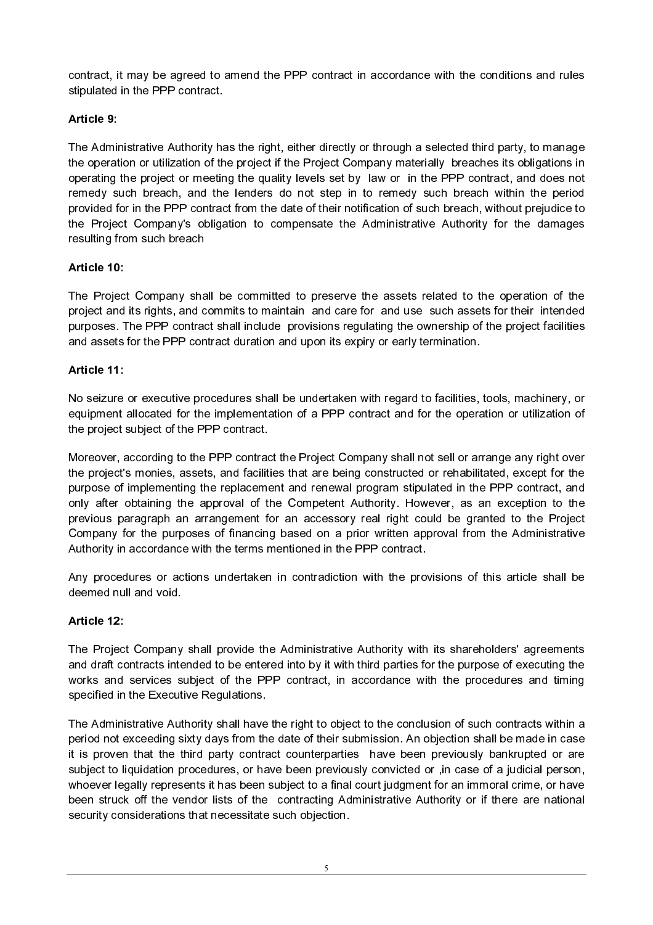contract, it may be agreed to amend the PPP contract in accordance with the conditions and rules stipulated in the PPP contract.

# Article 9:

The Administrative Authority has the right, either directly or through a selected third party, to manage the operation or utilization of the project if the Project Company materially breaches its obligations in operating the project or meeting the quality levels set by law or in the PPP contract, and does not remedy such breach, and the lenders do not step in to remedy such breach within the period provided for in the PPP contract from the date of their notification of such breach, without prejudice to the Project Company's obligation to compensate the Administrative Authority for the damages resulting from such breach

# Article 10:

The Project Company shall be committed to preserve the assets related to the operation of the project and its rights, and commits to maintain and care for and use such assets for their intended purposes. The PPP contract shall include provisions regulating the ownership of the project facilities and assets for the PPP contract duration and upon its expiry or early termination.

# Article 11:

No seizure or executive procedures shall be undertaken with regard to facilities, tools, machinery, or equipment allocated for the implementation of a PPP contract and for the operation or utilization of the project subject of the PPP contract.

Moreover, according to the PPP contract the Project Company shall not sell or arrange any right over the project's monies, assets, and facilities that are being constructed or rehabilitated, except for the purpose of implementing the replacement and renewal program stipulated in the PPP contract, and only after obtaining the approval of the Competent Authority. However, as an exception to the previous paragraph an arrangement for an accessory real right could be granted to the Project Company for the purposes of financing based on a prior written approval from the Administrative Authority in accordance with the terms mentioned in the PPP contract.

Any procedures or actions undertaken in contradiction with the provisions of this article shall be deemed null and void.

## Article 12:

The Project Company shall provide the Administrative Authority with its shareholders' agreements and draft contracts intended to be entered into by it with third parties for the purpose of executing the works and services subject of the PPP contract, in accordance with the procedures and timing specified in the Executive Regulations.

The Administrative Authority shall have the right to object to the conclusion of such contracts within a period not exceeding sixty days from the date of their submission. An objection shall be made in case it is proven that the third party contract counterparties have been previously bankrupted or are subject to liquidation procedures, or have been previously convicted or ,in case of a judicial person, whoever legally represents it has been subject to a final court judgment for an immoral crime, or have been struck off the vendor lists of the contracting Administrative Authority or if there are national security considerations that necessitate such objection.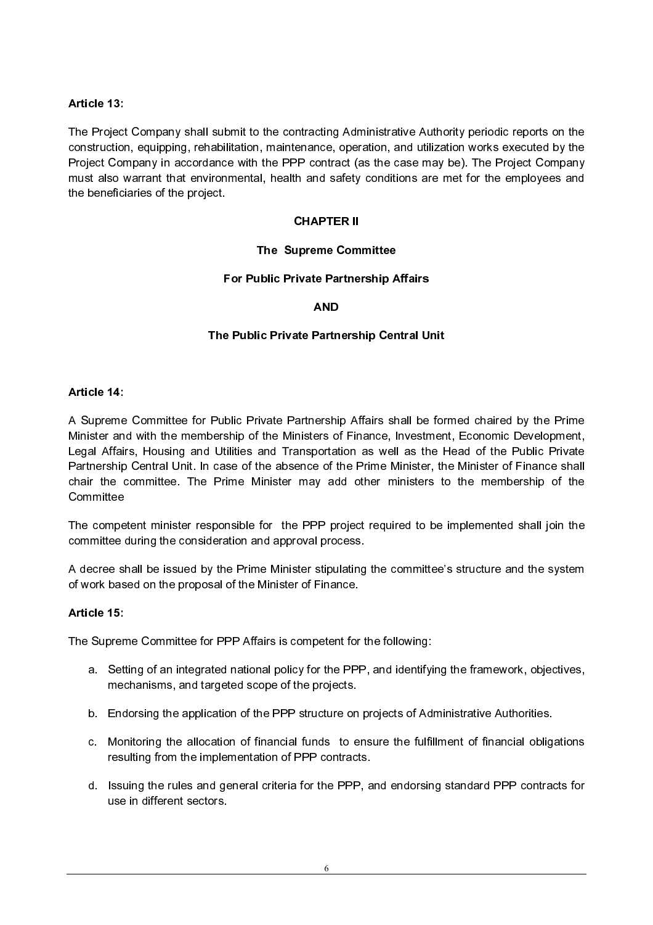## Article 13:

The Project Company shall submit to the contracting Administrative Authority periodic reports on the construction, equipping, rehabilitation, maintenance, operation, and utilization works executed by the Project Company in accordance with the PPP contract (as the case may be). The Project Company must also warrant that environmental, health and safety conditions are met for the employees and the beneficiaries of the project.

#### **CHAPTER II**

#### The Supreme Committee

#### Article 14:

The Project<br>The Project<br>Constructior<br>Project Cor<br>must also v<br>the benefici<br>Committee<br>The committee<br>The committee<br>A decree sl<br>of work bas<br>Article 15:<br>The Supren<br>a. Sett<br>mec<br>b. End<br>c. Mor<br>rest<br>d. Issu<br>use<br>d. Issu **Example Compare Compare Compare Compare Partnership After Partnership After Strangfortation**<br> **CHAPTER INCRED After Strangform and After Strangform and and dispersed process ster stipulating r of Finance.**<br> **Competent for** The Trivate Partnership A<br>
MD<br>
ic Private Partnership Cen<br>
ivate Partnership Affairs sh<br>
if the Ministers of Finance, I<br>
and Transportation as well<br>
the absence of the Prime M<br>
inister may add other mi<br>
for the PPP project AND<br>
AND<br>
AND<br>
AND<br>
Public Private Partnership Affairs shall be<br>
blic Private Partnership Affairs shall be<br>
ship of the Ministers of Finance, Investment<br>
shifties and Transportation as well as the<br>
section and approval pro Partn<br>Partn<br>ership<br>ership<br>ortat<br>ership<br>proceding<br>proceding<br>proceding<br>proceding<br>the F<br>ortat the F<br>ortat the F<br>discussion of the F Public Private Partnership Affairs shall be for<br>pership of the Ministers of Finance, Investmen<br>Utilities and Transportation as well as the F<br>case of the absence of the Prime Minister, the<br>Prime Minister may add other minis A Supreme<br>Minister and<br>Legal Affair<br>Partnership<br>chair the committee<br>The committee<br>A decree sl<br>of work bas<br>Article 15:<br>The Supren<br>a. Sett<br>mec<br>b. End<br>c. Mor<br>rest<br>d. Issu<br>use A Supreme Committee for Public Private Partnership Affairs shall be formed chaired by the Prime Minister and with the membership of the Ministers of Finance, Investment, Economic Development, Legal Affairs, Housing and Utilities and Transportation as well as the Head of the Public Private Partnership Central Unit. In case of the absence of the Prime Minister, the Minister of Finance shall chair the committee. The Prime Minister may add other ministers to the membership of the **Committee** 

The competent minister responsible for the PPP project required to be implemented shall join the committee during the consideration and approval process.

A decree shall be issued by the Prime Minister stipulating the committee's structure and the system of work based on the proposal of the Minister of Finance.

#### Article 15:

The Supreme Committee for PPP Affairs is competent for the following:

- a. Setting of an integrated national policy for the PPP, and identifying the framework, objectives, mechanisms, and targeted scope of the projects.
- b. Endorsing the application of the PPP structure on projects of Administrative Authorities.
- c. Monitoring the allocation of financial funds to ensure the fulfillment of financial obligations resulting from the implementation of PPP contracts.
- The Supren<br>
a. Sett<br>
mec<br>
b. End<br>
c. Mor<br>
rest<br>
d. Issu<br>
use d. Issuing the rules and general criteria for the PPP, and endorsing standard PPP contracts for use in different sectors.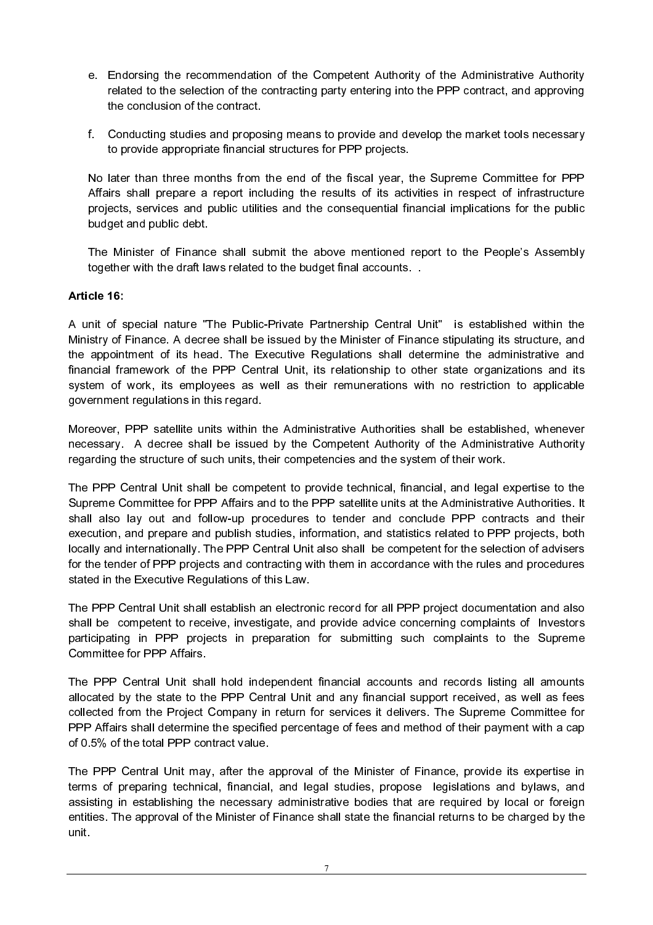- e. Endorsing the recommendation of the Competent Authority of the Administrative Authority related to the selection of the contracting party entering into the PPP contract, and approving the conclusion of the contract.
- f. Conducting studies and proposing means to provide and develop the market tools necessary to provide appropriate financial structures for PPP projects.

No later than three months from the end of the fiscal year, the Supreme Committee for PPP Affairs shall prepare a report including the results of its activities in respect of infrastructure projects, services and public utilities and the consequential financial implications for the public budget and public debt.

The Minister of Finance shall submit the above mentioned report to the People's Assembly together with the draft laws related to the budget final accounts. .

#### Article 16:

A unit of special nature "The Public-Private Partnership Central Unit" is established within the Ministry of Finance. A decree shall be issued by the Minister of Finance stipulating its structure, and the appointment of its head. The Executive Regulations shall determine the administrative and financial framework of the PPP Central Unit, its relationship to other state organizations and its system of work, its employees as well as their remunerations with no restriction to applicable government regulations in this regard.

Moreover, PPP satellite units within the Administrative Authorities shall be established, whenever necessary. A decree shall be issued by the Competent Authority of the Administrative Authority regarding the structure of such units, their competencies and the system of their work.

The PPP Central Unit shall be competent to provide technical, financial, and legal expertise to the Supreme Committee for PPP Affairs and to the PPP satellite units at the Administrative Authorities. It shall also lay out and follow-up procedures to tender and conclude PPP contracts and their execution, and prepare and publish studies, information, and statistics related to PPP projects, both locally and internationally. The PPP Central Unit also shall be competent for the selection of advisers for the tender of PPP projects and contracting with them in accordance with the rules and procedures stated in the Executive Regulations of this Law.

The PPP Central Unit shall establish an electronic record for all PPP project documentation and also shall be competent to receive, investigate, and provide advice concerning complaints of Investors participating in PPP projects in preparation for submitting such complaints to the Supreme Committee for PPP Affairs.

The PPP Central Unit shall hold independent financial accounts and records listing all amounts allocated by the state to the PPP Central Unit and any financial support received, as well as fees collected from the Project Company in return for services it delivers. The Supreme Committee for PPP Affairs shall determine the specified percentage of fees and method of their payment with a cap of 0.5% of the total PPP contract value.

The PPP Central Unit may, after the approval of the Minister of Finance, provide its expertise in terms of preparing technical, financial, and legal studies, propose legislations and bylaws, and assisting in establishing the necessary administrative bodies that are required by local or foreign entities. The approval of the Minister of Finance shall state the financial returns to be charged by the unit.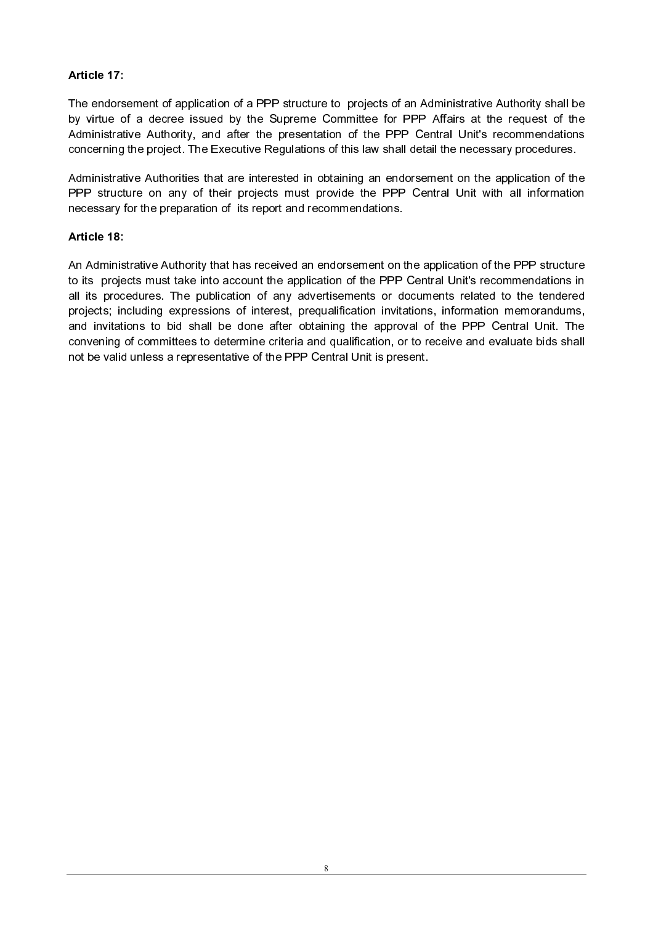## Article 17:

The endorsement of application of a PPP structure to projects of an Administrative Authority shall be by virtue of a decree issued by the Supreme Committee for PPP Affairs at the request of the Administrative Authority, and after the presentation of the PPP Central Unit's recommendations concerning the project. The Executive Regulations of this law shall detail the necessary procedures. Article 17:<br>The endorsement of application of a PPP structure to projects of a<br>by virtue of a decree issued by the Supreme Committee for I<br>Administrative Authority, and after the presentation of the PPP<br>concerning the proj

Administrative Authorities that are interested in obtaining an endorsement on the application of the PPP structure on any of their projects must provide the PPP Central Unit with all information necessary for the preparation of its report and recommendations.

#### Article 18:

An Administrative Authority that has received an endorsement on the application of the PPP structure to its projects must take into account the application of the PPP Central Unit's recommendations in all its procedures. The publication of any advertisements or documents related to the tendered projects; including expressions of interest, prequalification invitations, information memorandums, and invitations to bid shall be done after obtaining the approval of the PPP Central Unit. The convening of committees to determine criteria and qualification, or to receive and evaluate bids shall not be valid unless a representative of the PPP Central Unit is present.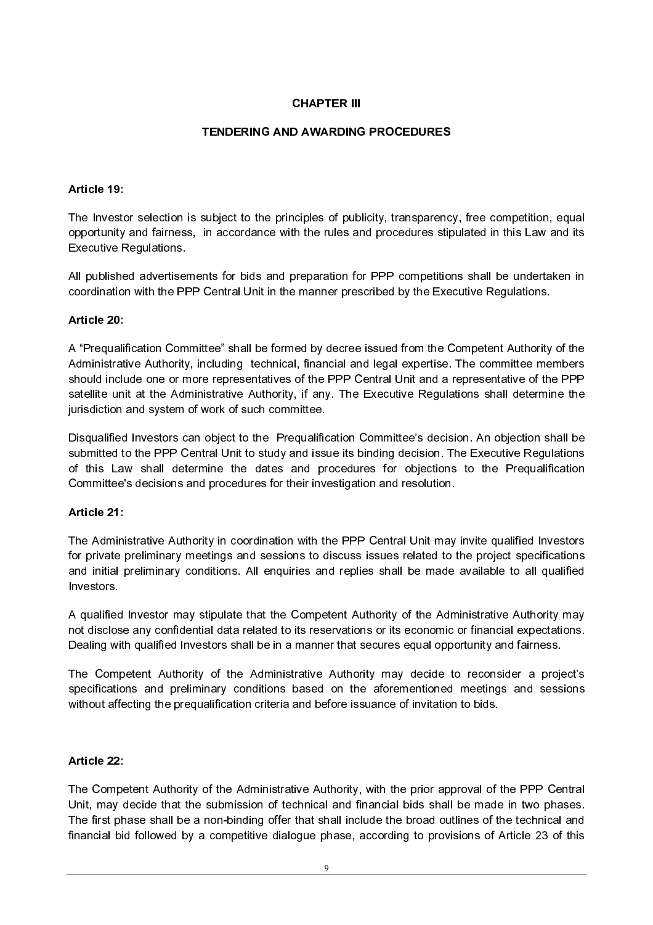## **CHAPTER III**

#### **TENDERING AND AWARDING PROCEDURES**

#### Article 19

The Investor selection is subject to the principles of publicity, transparency, free competition, equal opportunity and fairness, in accordance with the rules and procedures stipulated in this Law and its Executive Regulations.

All published advertisements for bids and preparation for PPP competitions shall be undertaken in coordination with the PPP Central Unit in the manner prescribed by the Executive Regulations.

#### Article 20:

The actual time in the rules of public<br>piciples of public the rules and<br>preparation for manner presided by decree<br>in the rules and of the PPP C,<br>it is any. The mittee.<br>equalification of the PPP C,<br>and issue its b<br>and issue subject to the principles of publicity, transparence<br>in accordance with the rules and procedures stip<br>ms for bids and preparation for PPP competition<br>Central Unit in the manner prescribed by the Executed<br>then "shall be for Article 19:<br>The Investo<br>The Investo<br>opportunity<br>Executive F<br>All publishe<br>coordinatior<br>Article 20:<br>A "Prequalit<br>Administrati<br>should inclu<br>satellite uni<br>jurisdiction a<br>Disqualified to this Lav<br>Committee":<br>Article 21:<br>The Adm A "Prequalit<br>Administrati<br>should inclu<br>satellite uni<br>jurisdiction<br>Disqualified<br>submitted to<br>of this Lav<br>Committee':<br>Article 21:<br>The Admini<br>and initial provestors.<br>A qualified<br>not disclose<br>Dealing with<br>The Compo<br>specificati A "Prequalification Committee" shall be formed by decree issued from the Competent Authority of the Administrative Authority, including technical, financial and legal expertise. The committee members should include one or more representatives of the PPP Central Unit and a representative of the PPP satellite unit at the Administrative Authority, if any. The Executive Regulations shall determine the jurisdiction and system of work of such committee.

Disqualified Investors can object to the Prequalification Committee's decision. An objection shall be submitted to the PPP Central Unit to study and issue its binding decision. The Executive Regulations of this Law shall determine the dates and procedures for objections to the Prequalification Committee's decisions and procedures for their investigation and resolution.

#### Article 21:

The Administrative Authority in coordination with the PPP Central Unit may invite qualified Investors for private preliminary meetings and sessions to discuss issues related to the project specifications and initial preliminary conditions. All enquiries and replies shall be made available to all qualified Investors.

A qualified Investor may stipulate that the Competent Authority of the Administrative Authority may not disclose any confidential data related to its reservations or its economic or financial expectations. Dealing with qualified Investors shall be in a manner that secures equal opportunity and fairness.

The Competent Authority of the Administrative Authority may decide to reconsider a project's specifications and preliminary conditions based on the aforementioned meetings and sessions without affecting the prequalification criteria and before issuance of invitation to bids.

#### Article 22:

Article 21:<br>The Admini<br>for private <sub>|</sub><br>and initial <sub>|</sub><br>Investors.<br>A qualified<br>not disclose<br>Dealing with<br>The Compe<br>specification<br>without affe<br>Article 22:<br>The Compe<br>Unit, may c<br>The first ph<br>financial bic<br>financial bic Article 22:<br>The Compe<br>Unit, may c<br>The first ph<br>financial bio The Competent Authority of the Administrative Authority, with the prior approval of the PPP Central Unit, may decide that the submission of technical and financial bids shall be made in two phases. The first phase shall be a non-binding offer that shall include the broad outlines of the technical and financial bid followed by a competitive dialogue phase, according to provisions of Article 23 of this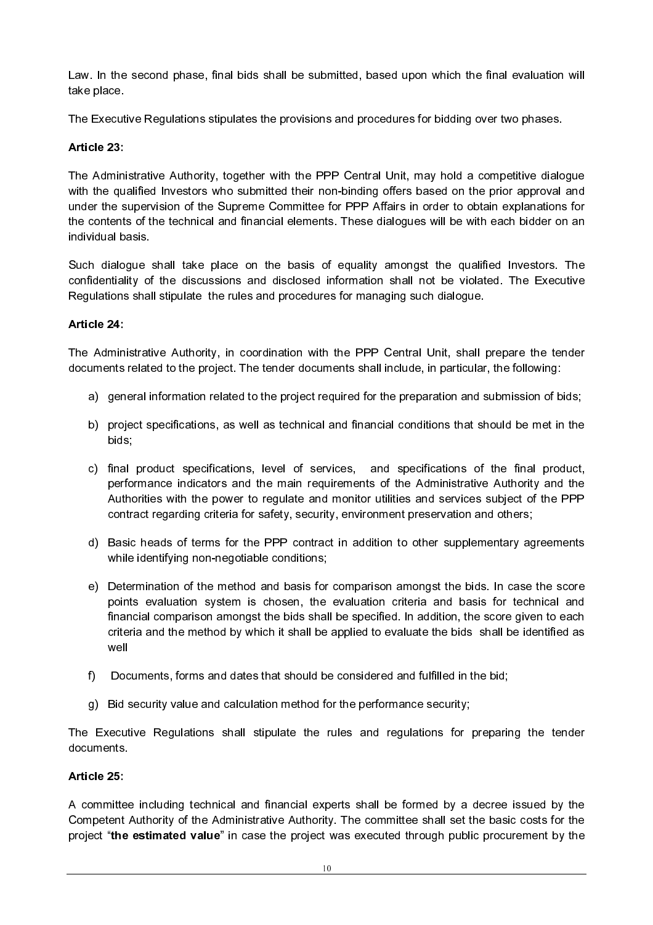Law. In the second phase, final bids shall be submitted, based upon which the final evaluation will take place.

The Executive Regulations stipulates the provisions and procedures for bidding over two phases.

# Article 23:

The Administrative Authority, together with the PPP Central Unit, may hold a competitive dialogue with the qualified Investors who submitted their non-binding offers based on the prior approval and under the supervision of the Supreme Committee for PPP Affairs in order to obtain explanations for the contents of the technical and financial elements. These dialogues will be with each bidder on an individual basis. Law. In the<br>take place.<br>The Execut<br>Article 23:<br>The Admini<br>with the quander the s<br>the content:<br>individual bi<br>Such dialo;<br>Such dialo;<br>Confidential<br>Regulations<br>Article 24: Law. In the<br>take place.<br>The Execut<br>Article 23:<br>The Admini<br>with the quinder the sontent:<br>individual bi<br>Such dialog<br>confidential<br>Regulations<br>Article 24:<br>The Admin<br>documents<br>a) gen<br>b) proj<br>bids<br>c) fina<br>perf<br>Autl<br>con<br>d) Bas<br>wh Use, in the second pusse, first bits shall be solved used upon with the first exact<br>place the place.<br>The Associations explored signal<br>action to the projection of the projection of the projection of the projection<br>of the ca

Such dialogue shall take place on the basis of equality amongst the qualified Investors. The confidentiality of the discussions and disclosed information shall not be violated. The Executive Regulations shall stipulate the rules and procedures for managing such dialogue.

## Article 24:

The Administrative Authority, in coordination with the PPP Central Unit, shall prepare the tender documents related to the project. The tender documents shall include, in particular, the following:

- a) general information related to the project required for the preparation and submission of bids;
- b) project specifications, as well as technical and financial conditions that should be met in the bids;
- c) final product specifications, level of services, and specifications of the final product, performance indicators and the main requirements of the Administrative Authority and the Authorities with the power to regulate and monitor utilities and services subject of the PPP contract regarding criteria for safety, security, environment preservation and others;
- d) Basic heads of terms for the PPP contract in addition to other supplementary agreements while identifying non-negotiable conditions;
- e) Determination of the method and basis for comparison amongst the bids. In case the score points evaluation system is chosen, the evaluation criteria and basis for technical and financial comparison amongst the bids shall be specified. In addition, the score given to each criteria and the method by which it shall be applied to evaluate the bids shall be identified as well
- f) Documents, forms and dates that should be considered and fulfilled in the bid;
- g) Bid security value and calculation method for the performance security;

The Executive Regulations shall stipulate the rules and regulations for preparing the tender documents.

## Article 25:

A committee including technical and financial experts shall be formed by a decree issued by the Competent Authority of the Administrative Authority. The committee shall set the basic costs for the project "the estimated value" in case the project was executed through public procurement by the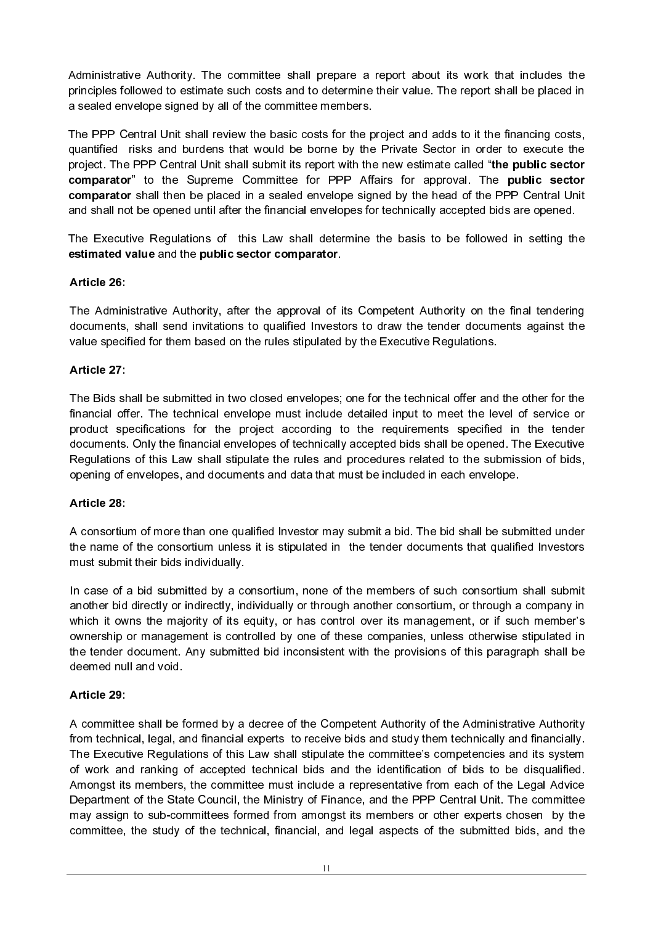Administrative Authority. The committee shall prepare a report about its work that includes the principles followed to estimate such costs and to determine their value. The report shall be placed in a sealed envelope signed by all of the committee members. Administrative Authority. The committee shall prepare a report about its work that includes the<br>principles followed to estimate such costs and to determine their value. The report shall be placed in<br>a sealed envelope signe

Administrative Authority. The committee shall prepare a report about its work that includes the<br>principles followed to estimate such costs and to determine their value. The report shall be placed in<br>a sealed envelope signe Administrative Authority. The committee shall prepare a report about its work that includes the principles followed to estimate such costs and to determine their value. The report shall be placed in a sealed envelope signe Administrative Authority. The committee shall prepa<br>principles followed to estimate such costs and to dete<br>a sealed envelope signed by all of the committee mem<br>The PPP Central Unit shall review the basic costs for<br>quantifi Administrative Authority. The committee shall prepare a report about its work that principles followed to estimate such costs and to determine their value. The report shall material but shall must be included that must be Administrative Authority. The comprinciples followed to estimate such<br>a sealed envelope signed by all of t<br>The PPP Central Unit shall review<br>quantified risks and burdens that<br>project. The PPP Central Unit shall<br>comparator" Administrative Authoritive<br>principles followed to e<br>a sealed envelope sign<br>The PPP Central Unit<br>quantified risks and t<br>project. The PPP Cent<br>**comparator**" to the<br>**comparator**" to the<br>**comparator**" to the<br>**comparator**" to t The PPP Central Unit shall review the basic costs for the project and adds to it the financing costs, quantified risks and burdens that would be borne by the Private Sector in order to execute the project. The PPP Central Unit shall submit its report with the new estimate called "the public sector comparator" to the Supreme Committee for PPP Affairs for approval. The public sector comparator shall then be placed in a sealed envelope signed by the head of the PPP Central Unit and shall not be opened until after the financial envelopes for technically accepted bids are opened.

The Executive Regulations of this Law shall determine the basis to be followed in setting the estimated value and the public sector comparator.

## Article 26:

The Administrative Authority, after the approval of its Competent Authority on the final tendering documents, shall send invitations to qualified Investors to draw the tender documents against the value specified for them based on the rules stipulated by the Executive Regulations.

## Article 27

The Bids shall be submitted in two closed envelopes; one for the technical offer and the other for the financial offer. The technical envelope must include detailed input to meet the level of service or product specifications for the project according to the requirements specified in the tender documents. Only the financial envelopes of technically accepted bids shall be opened. The Executive Regulations of this Law shall stipulate the rules and procedures related to the submission of bids, opening of envelopes, and documents and data that must be included in each envelope.

#### Article 28:

A consortium of more than one qualified Investor may submit a bid. The bid shall be submitted under the name of the consortium unless it is stipulated in the tender documents that qualified Investors must submit their bids individually.

In case of a bid submitted by a consortium, none of the members of such consortium shall submit another bid directly or indirectly, individually or through another consortium, or through a company in which it owns the majority of its equity, or has control over its management, or if such member's ownership or management is controlled by one of these companies, unless otherwise stipulated in the tender document. Any submitted bid inconsistent with the provisions of this paragraph shall be deemed null and void.

#### Article 29:

A committee shall be formed by a decree of the Competent Authority of the Administrative Authority from technical, legal, and financial experts to receive bids and study them technically and financially. The Executive Regulations of this Law shall stipulate the committee's competencies and its system of work and ranking of accepted technical bids and the identification of bids to be disqualified. Amongst its members, the committee must include a representative from each of the Legal Advice Department of the State Council, the Ministry of Finance, and the PPP Central Unit. The committee may assign to sub-committees formed from amongst its members or other experts chosen by the committee, the study of the technical, financial, and legal aspects of the submitted bids, and the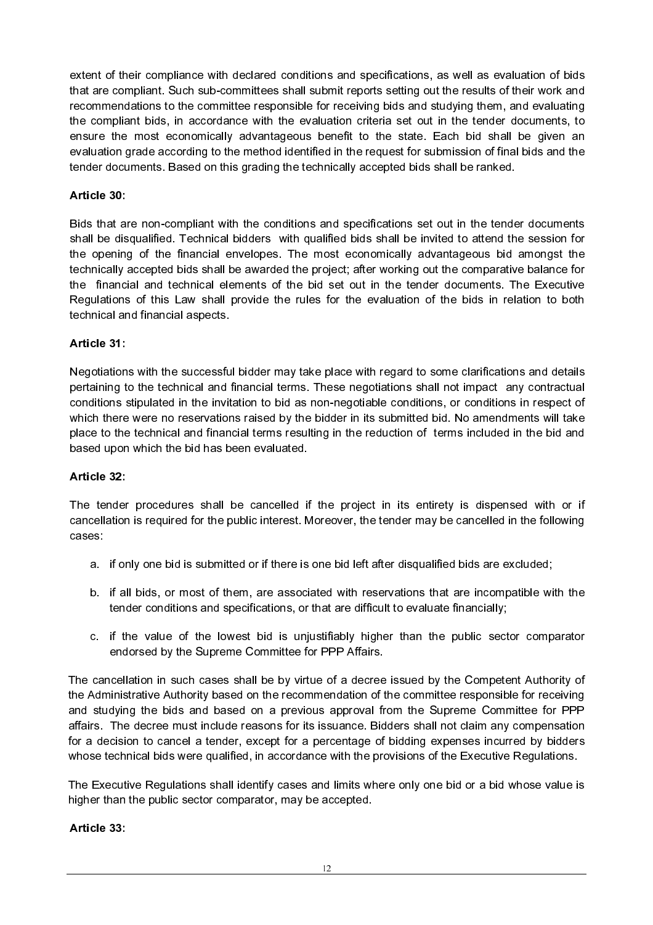extent of their compliance with declared conditions and specifications, as well as evaluation of bids that are compliant. Such sub-committees shall submit reports setting out the results of their work and recommendations to the committee responsible for receiving bids and studying them, and evaluating the compliant bids, in accordance with the evaluation criteria set out in the tender documents, to ensure the most economically advantageous benefit to the state. Each bid shall be given an evaluation grade according to the method identified in the request for submission of final bids and the tender documents. Based on this grading the technically accepted bids shall be ranked.

## Article 30:

Bids that are non-compliant with the conditions and specifications set out in the tender documents shall be disqualified. Technical bidders with qualified bids shall be invited to attend the session for the opening of the financial envelopes. The most economically advantageous bid amongst the technically accepted bids shall be awarded the project; after working out the comparative balance for the financial and technical elements of the bid set out in the tender documents. The Executive Regulations of this Law shall provide the rules for the evaluation of the bids in relation to both technical and financial aspects.

## Article 31:

Negotiations with the successful bidder may take place with regard to some clarifications and details pertaining to the technical and financial terms. These negotiations shall not impact any contractual conditions stipulated in the invitation to bid as non-negotiable conditions, or conditions in respect of which there were no reservations raised by the bidder in its submitted bid. No amendments will take place to the technical and financial terms resulting in the reduction of terms included in the bid and based upon which the bid has been evaluated.

#### Article 32:

The tender procedures shall be cancelled if the project in its entirety is dispensed with or if cancellation is required for the public interest. Moreover, the tender may be cancelled in the following cases:

- a. if only one bid is submitted or if there is one bid left after disqualified bids are excluded;
- b. if all bids, or most of them, are associated with reservations that are incompatible with the tender conditions and specifications, or that are difficult to evaluate financially;
- c. if the value of the lowest bid is unjustifiably higher than the public sector comparator endorsed by the Supreme Committee for PPP Affairs.

The cancellation in such cases shall be by virtue of a decree issued by the Competent Authority of the Administrative Authority based on the recommendation of the committee responsible for receiving and studying the bids and based on a previous approval from the Supreme Committee for PPP affairs. The decree must include reasons for its issuance. Bidders shall not claim any compensation for a decision to cancel a tender, except for a percentage of bidding expenses incurred by bidders whose technical bids were qualified, in accordance with the provisions of the Executive Regulations.

The Executive Regulations shall identify cases and limits where only one bid or a bid whose value is higher than the public sector comparator, may be accepted.

#### Article 33: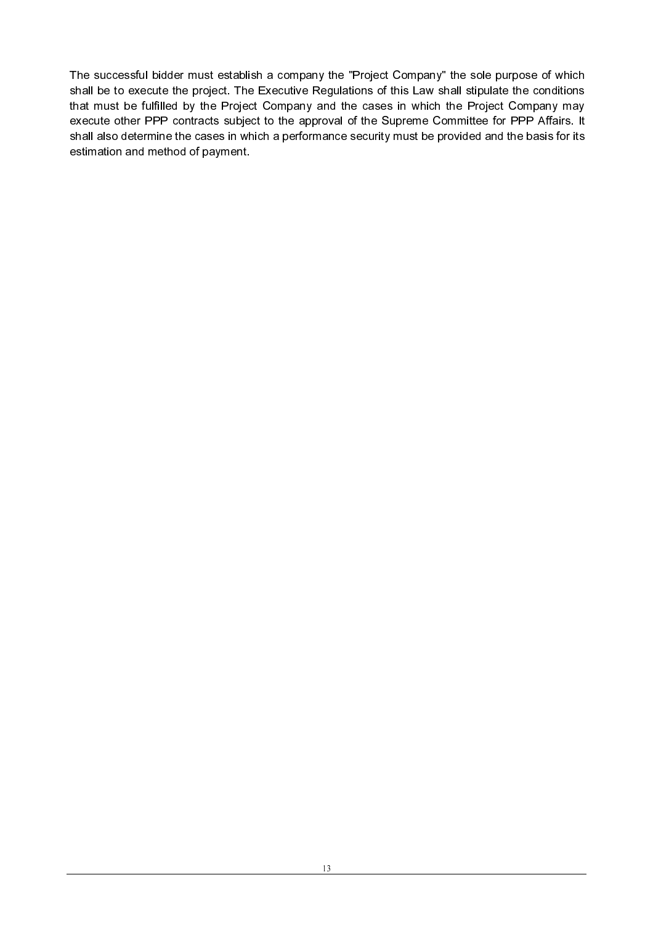The successful bidder must establish a company the "Project Company" the sole purpose of which shall be to execute the project. The Executive Regulations of this Law shall stipulate the conditions that must be fulfilled by the Project Company and the cases in which the Project Company may execute other PPP contracts subject to the approval of the Supreme Committee for PPP Affairs. It shall also determine the cases in which a performance security must be provided and the basis for its estimation and method of payment.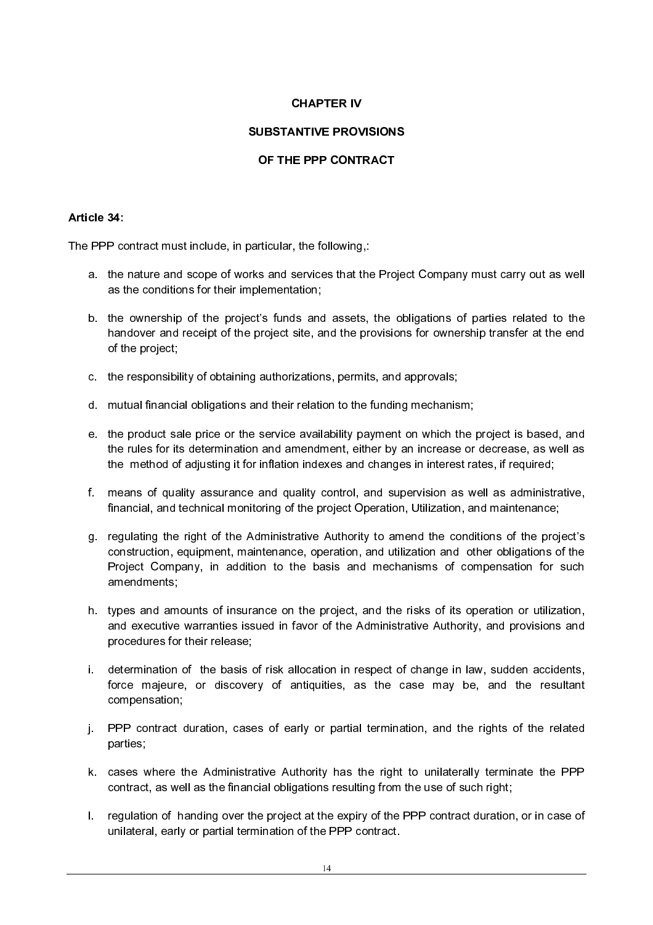## **CHAPTER IV**

## **SUBSTANTIVE PROVISIONS**

#### Article 34:

 The PPP contract must include, in particular, the following,:

- a. the nature and scope of works and services that the Project Company must carry out as well as the conditions for their implementation;
- b. the ownership of the project's funds and assets, the obligations of parties related to the handover and receipt of the project site, and the provisions for ownership transfer at the end of the project;
- c. the responsibility of obtaining authorizations, permits, and approvals;
- d. mutual financial obligations and their relation to the funding mechanism;
- e. the product sale price or the service availability payment on which the project is based, and the rules for its determination and amendment, either by an increase or decrease, as well as the method of adjusting it for inflation indexes and changes in interest rates, if required;
- f. means of quality assurance and quality control, and supervision as well as administrative, financial, and technical monitoring of the project Operation, Utilization, and maintenance;
- THE PROV<br>
IS ANTIVE PROV<br>
IS PPP CONTI<br>
IS PPP CONTI<br>
Services that the<br>
services that the<br>
services that the<br>
services that the<br>
sizations, perm<br>
relation to the<br>
prediction, extend the<br>
prediction, it is and<br>
prediction, or THE PPP CONTRACT<br>OF THE PPP CONTRACT<br>particular, the following,:<br>the sand services that the Projec<br>pplementation;<br>ect's funds and assets, the oblementation;<br>g authorizations, permits, and a<br>and their relation to the fun ricular, the following,:<br>s and services that the Projementation;<br>s's funds and assets, the erojenentation;<br>"S's funds and assets, the erojenentation;<br>authorizations, permits, and their relation to the fundities<br>wive availa The PPP co<br>
a. the<br>
as t<br>
b. the<br>
han of t<br>
c. the<br>
d. mut<br>
e. the<br>
the<br>
f. mea<br>
fina<br>
g. regu<br>
con: Proj<br>
ame<br>
h. type<br>
and<br>
proy<br>
i. dete<br>
forc<br>
i. Dete<br>
forc<br>
j. PPF<br>
part<br>
k. cas<br>
con:<br>
l. PPF<br>
part<br>
k. cas<br>
con:<br>
l. p g. regulating the right of the Administrative Authority to amend the conditions of the project's construction, equipment, maintenance, operation, and utilization and other obligations of the Project Company, in addition to the basis and mechanisms of compensation for such amendments;
	- h. types and amounts of insurance on the project, and the risks of its operation or utilization, and executive warranties issued in favor of the Administrative Authority, and provisions and procedures for their release;
	- i. determination of the basis of risk allocation in respect of change in law, sudden accidents, force majeure, or discovery of antiquities, as the case may be, and the resultant compensation;
	- j. PPP contract duration, cases of early or partial termination, and the rights of the related parties;
	- k. cases where the Administrative Authority has the right to unilaterally terminate the PPP contract, as well as the financial obligations resulting from the use of such right;
	- l. regulation of handing over the project at the expiry of the PPP contract duration, or in case of unilateral, early or partial termination of the PPP contract.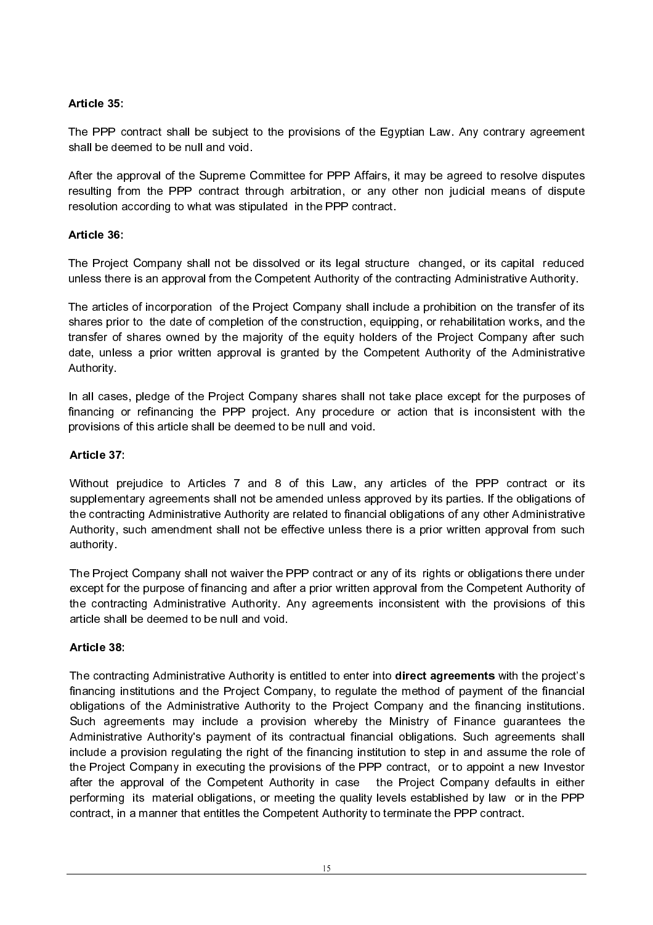## Article 35:

The PPP contract shall be subject to the provisions of the Egyptian Law. Any contrary agreement shall be deemed to be null and void.

After the approval of the Supreme Committee for PPP Affairs, it may be agreed to resolve disputes resulting from the PPP contract through arbitration, or any other non judicial means of dispute resolution according to what was stipulated in the PPP contract.

## Article 36:

The Project Company shall not be dissolved or its legal structure changed, or its capital reduced unless there is an approval from the Competent Authority of the contracting Administrative Authority.

The articles of incorporation of the Project Company shall include a prohibition on the transfer of its shares prior to the date of completion of the construction, equipping, or rehabilitation works, and the transfer of shares owned by the majority of the equity holders of the Project Company after such date, unless a prior written approval is granted by the Competent Authority of the Administrative Authority.

In all cases, pledge of the Project Company shares shall not take place except for the purposes of financing or refinancing the PPP project. Any procedure or action that is inconsistent with the provisions of this article shall be deemed to be null and void.

## Article 37:

Without prejudice to Articles 7 and 8 of this Law, any articles of the PPP contract or its supplementary agreements shall not be amended unless approved by its parties. If the obligations of the contracting Administrative Authority are related to financial obligations of any other Administrative Authority, such amendment shall not be effective unless there is a prior written approval from such authority.

The Project Company shall not waiver the PPP contract or any of its rights or obligations there under except for the purpose of financing and after a prior written approval from the Competent Authority of the contracting Administrative Authority. Any agreements inconsistent with the provisions of this article shall be deemed to be null and void.

#### Article 38:

The contracting Administrative Authority is entitled to enter into direct agreements with the project's financing institutions and the Project Company, to regulate the method of payment of the financial obligations of the Administrative Authority to the Project Company and the financing institutions. Such agreements may include a provision whereby the Ministry of Finance guarantees the Administrative Authority's payment of its contractual financial obligations. Such agreements shall include a provision regulating the right of the financing institution to step in and assume the role of the Project Company in executing the provisions of the PPP contract, or to appoint a new Investor after the approval of the Competent Authority in case the Project Company defaults in either performing its material obligations, or meeting the quality levels established by law or in the PPP contract, in a manner that entitles the Competent Authority to terminate the PPP contract.